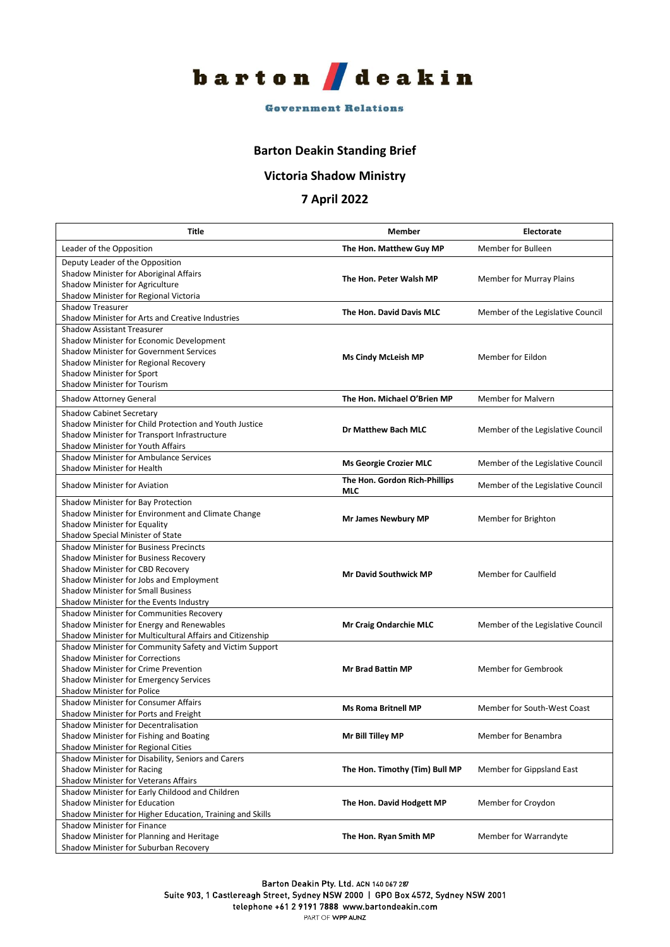

## **Government Relations**

## **Barton Deakin Standing Brief**

## **Victoria Shadow Ministry**

## **7 April 2022**

| Title                                                                                 | Member                               | Electorate                        |
|---------------------------------------------------------------------------------------|--------------------------------------|-----------------------------------|
| Leader of the Opposition                                                              | The Hon. Matthew Guy MP              | Member for Bulleen                |
| Deputy Leader of the Opposition                                                       |                                      |                                   |
| Shadow Minister for Aboriginal Affairs                                                | The Hon. Peter Walsh MP              | Member for Murray Plains          |
| Shadow Minister for Agriculture                                                       |                                      |                                   |
| Shadow Minister for Regional Victoria                                                 |                                      |                                   |
| <b>Shadow Treasurer</b><br>Shadow Minister for Arts and Creative Industries           | The Hon. David Davis MLC             | Member of the Legislative Council |
| <b>Shadow Assistant Treasurer</b>                                                     |                                      |                                   |
| Shadow Minister for Economic Development                                              |                                      |                                   |
| <b>Shadow Minister for Government Services</b>                                        |                                      |                                   |
| Shadow Minister for Regional Recovery                                                 | <b>Ms Cindy McLeish MP</b>           | Member for Eildon                 |
| Shadow Minister for Sport                                                             |                                      |                                   |
| Shadow Minister for Tourism                                                           |                                      |                                   |
| Shadow Attorney General                                                               | The Hon. Michael O'Brien MP          | Member for Malvern                |
| <b>Shadow Cabinet Secretary</b>                                                       |                                      |                                   |
| Shadow Minister for Child Protection and Youth Justice                                | Dr Matthew Bach MLC                  | Member of the Legislative Council |
| Shadow Minister for Transport Infrastructure                                          |                                      |                                   |
| Shadow Minister for Youth Affairs                                                     |                                      |                                   |
| <b>Shadow Minister for Ambulance Services</b>                                         | <b>Ms Georgie Crozier MLC</b>        | Member of the Legislative Council |
| Shadow Minister for Health                                                            |                                      |                                   |
| Shadow Minister for Aviation                                                          | The Hon. Gordon Rich-Phillips<br>MLC | Member of the Legislative Council |
| Shadow Minister for Bay Protection                                                    |                                      |                                   |
| Shadow Minister for Environment and Climate Change                                    | <b>Mr James Newbury MP</b>           | Member for Brighton               |
| Shadow Minister for Equality                                                          |                                      |                                   |
| Shadow Special Minister of State                                                      |                                      |                                   |
| <b>Shadow Minister for Business Precincts</b>                                         |                                      |                                   |
| Shadow Minister for Business Recovery                                                 |                                      |                                   |
| Shadow Minister for CBD Recovery                                                      | <b>Mr David Southwick MP</b>         | <b>Member for Caulfield</b>       |
| Shadow Minister for Jobs and Employment                                               |                                      |                                   |
| <b>Shadow Minister for Small Business</b>                                             |                                      |                                   |
| Shadow Minister for the Events Industry                                               |                                      |                                   |
| Shadow Minister for Communities Recovery<br>Shadow Minister for Energy and Renewables | <b>Mr Craig Ondarchie MLC</b>        | Member of the Legislative Council |
| Shadow Minister for Multicultural Affairs and Citizenship                             |                                      |                                   |
| Shadow Minister for Community Safety and Victim Support                               |                                      |                                   |
| <b>Shadow Minister for Corrections</b>                                                |                                      |                                   |
| Shadow Minister for Crime Prevention                                                  | <b>Mr Brad Battin MP</b>             | Member for Gembrook               |
| Shadow Minister for Emergency Services                                                |                                      |                                   |
| <b>Shadow Minister for Police</b>                                                     |                                      |                                   |
| <b>Shadow Minister for Consumer Affairs</b>                                           |                                      |                                   |
| Shadow Minister for Ports and Freight                                                 | <b>Ms Roma Britnell MP</b>           | Member for South-West Coast       |
| Shadow Minister for Decentralisation                                                  |                                      |                                   |
| Shadow Minister for Fishing and Boating                                               | Mr Bill Tilley MP                    | Member for Benambra               |
| Shadow Minister for Regional Cities                                                   |                                      |                                   |
| Shadow Minister for Disability, Seniors and Carers                                    |                                      |                                   |
| Shadow Minister for Racing                                                            | The Hon. Timothy (Tim) Bull MP       | Member for Gippsland East         |
| <b>Shadow Minister for Veterans Affairs</b>                                           |                                      |                                   |
| Shadow Minister for Early Childood and Children                                       |                                      |                                   |
| Shadow Minister for Education                                                         | The Hon. David Hodgett MP            | Member for Croydon                |
| Shadow Minister for Higher Education, Training and Skills                             |                                      |                                   |
| <b>Shadow Minister for Finance</b><br>Shadow Minister for Planning and Heritage       | The Hon. Ryan Smith MP               | Member for Warrandyte             |
| Shadow Minister for Suburban Recovery                                                 |                                      |                                   |
|                                                                                       |                                      |                                   |

Suite 903, 1 Castlereagh Street, Sydney NSW 2000 | GPO Box 4572, Sydney NSW 2001

telephone +61 2 9191 7888 www.bartondeakin.com